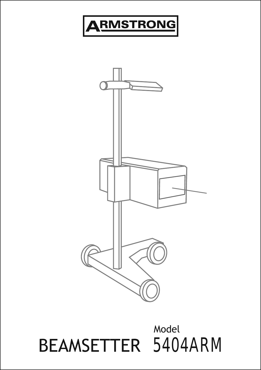

## BEAMSETTER 5404ARM Model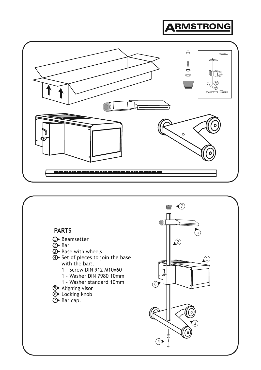

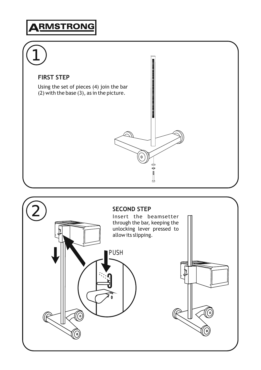# 1 **The Communistic Communistic Communistic FIRST STEP** Using the set of pieces (4) join the bar (2) with the base (3), as in the picture.  $\overline{\circ}$  $\bullet$   $\bullet$   $\bullet$

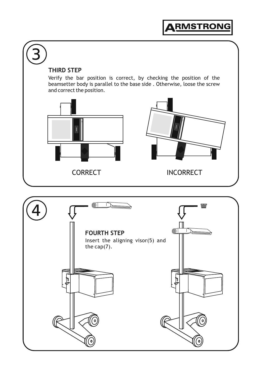

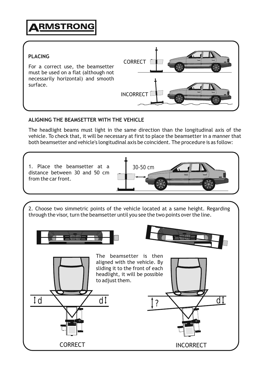

#### **ALIGNING THE BEAMSETTER WITH THE VEHICLE**

The headlight beams must light in the same direction than the longitudinal axis of the vehicle. To check that, it will be necessary at first to place the beamsetter in a manner that both beamsetter and vehicle's longitudinal axis be coincident. The procedure is as follow:

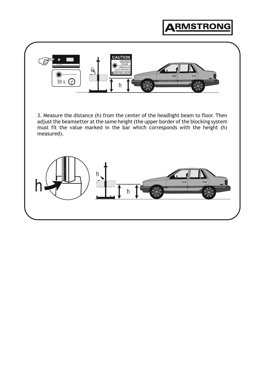

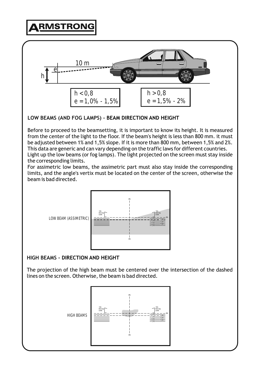

**LOW BEAMS (AND FOG LAMPS) - BEAM DIRECTION AND HEIGHT**

Before to proceed to the beamsetting, it is important to know its height. It is measured from the center of the light to the floor. If the beam's height is less than 800 mm. it must be adjusted between 1% and 1,5% slope. If it is more than 800 mm, between 1,5% and 2%. This data are generic and can vary depending on the traffic laws for different countries. Light up the low beams (or fog lamps). The light projected on the screen must stay inside the corresponding limits.

For assimetric low beams, the assimetric part must also stay inside the corresponding limits, and the angle's vertix must be located on the center of the screen, otherwise the beam is bad directed.



### **HIGH BEAMS - DIRECTION AND HEIGHT**

The projection of the high beam must be centered over the intersection of the dashed lines on the screen. Otherwise, the beam is bad directed.

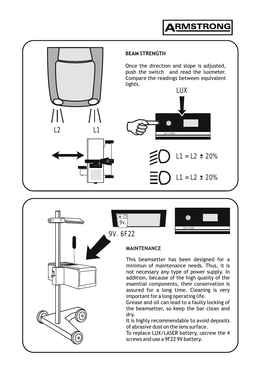



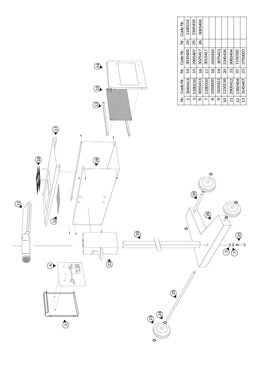| Nr. Code Nr. | 1180114        | 2345416       | 3065404       |                |               |               |           |                |               |                |
|--------------|----------------|---------------|---------------|----------------|---------------|---------------|-----------|----------------|---------------|----------------|
|              | 24             | 25            | 26            |                |               |               |           |                |               |                |
| Nr. Code Nr. | 3035420        | 2905407       | 3025417       | 3015417        | 2915416       | 3075411       | 2345426   | 3065404        | 1150192       | 2750003        |
|              | $\overline{1}$ | $\frac{5}{1}$ | $\frac{1}{6}$ | $\overline{1}$ | $\frac{8}{1}$ | $\frac{1}{2}$ | 20        | 21             | 22            | 23             |
| Nr. Code Nr. | 3045413        | 1180110       | 3055413       | 1180310        | 1050020       | 3105411       | 1150116   | 2905412        | 1392404       | 3145407        |
|              |                |               | ◡             |                | $\infty$      | ᡋ             | $\approx$ | $\overline{1}$ | $\frac{1}{2}$ | $\frac{13}{2}$ |